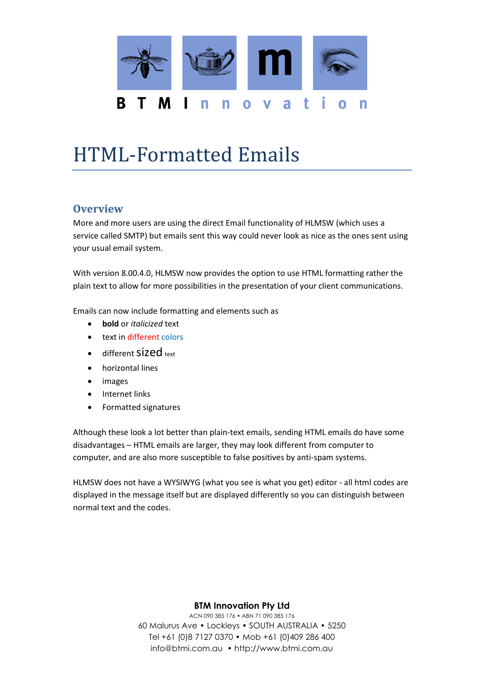

# HTML-Formatted Emails

#### **Overview**

More and more users are using the direct Email functionality of HLMSW (which uses a service called SMTP) but emails sent this way could never look as nice as the ones sent using your usual email system.

With version 8.00.4.0, HLMSW now provides the option to use HTML formatting rather the plain text to allow for more possibilities in the presentation of your client communications.

Emails can now include formatting and elements such as

- **bold** or *italicized* text
- text in different colors
- $\bullet$  different Sized text
- horizontal lines
- images
- Internet links
- Formatted signatures

Although these look a lot better than plain-text emails, sending HTML emails do have some disadvantages – HTML emails are larger, they may look different from computer to computer, and are also more susceptible to false positives by anti-spam systems.

HLMSW does not have a WYSIWYG (what you see is what you get) editor - all html codes are displayed in the message itself but are displayed differently so you can distinguish between normal text and the codes.

#### **BTM Innovation Pty Ltd**

ACN 090 385 176 • ABN 71 090 385 176 60 Malurus Ave • Lockleys • SOUTH AUSTRALIA • 5250 Tel +61 (0)8 7127 0370 • Mob +61 (0)409 286 400 info@btmi.com.au • http://www.btmi.com.au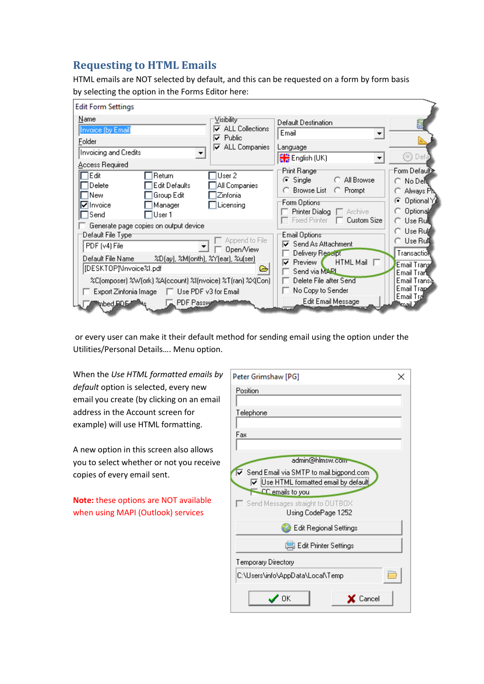### **Requesting to HTML Emails**

HTML emails are NOT selected by default, and this can be requested on a form by form basis by selecting the option in the Forms Editor here:

| Edit Form Settings                                                                                                                                                                                                                                                |                                                                                                                                                                 |                                                                                                              |
|-------------------------------------------------------------------------------------------------------------------------------------------------------------------------------------------------------------------------------------------------------------------|-----------------------------------------------------------------------------------------------------------------------------------------------------------------|--------------------------------------------------------------------------------------------------------------|
| Name<br><u>V</u> isibility-<br><b>ALL Collections</b><br>Invoice (by Email)<br>Public<br>⊽<br>Folder<br>$\overline{\mathsf{v}}$ ALL Companies<br>Invoicing and Credits<br>Access Required<br>Edit<br>User 2<br>Return<br>Edit Defaults<br>Delete<br>All Companies | Default Destination<br>Email<br>$\blacktriangledown$<br>Language<br>$\frac{81.8}{81.8}$ English (UK)<br>▼<br>'Print Ranger<br>C Single<br>C All Browse          | ි Defa<br>Form Defauli∑≥<br>○ No Dell                                                                        |
| Group Edit<br>Zinfonia<br>New<br><b>⊽</b> Invoice<br>Licensing<br>Manager<br>Send<br>User 1<br>Generate page copies on output device<br>Default File Typer<br>Append to File<br>PDF (v4) File<br>Open/View                                                        | ◯ Browse List<br>C Prompt<br>'Form Options<br>Printer Dialog<br>□ Archive<br><b>Fixed Printer</b><br><b>Custom Size</b><br>'Email Options<br>Send As Attachment | Always Pl<br>Optional Y<br>G<br>Optional<br>C. Use Rul∥<br>C. Use Ru∦<br>∩ Use Ru <b>il</b>                  |
| Default File Name<br>%D(ay), %M(onth), %Y(ear), %u(ser)<br>[DESKTOP]\Invoice%l.pdf<br>r.<br>%C(omposer) %W(ork) %A(ccount) %I(nvoice) %T(ran) %X(Con)<br>Use PDF v3 for Email<br>Export Zinfonia Image<br>. .<br>PDF Passwe<br>mbed PDE-                          | Delivery Receipt<br>$HTML Mail \Box$<br>Preview I<br>Send via MARL<br>Delete File after Send<br>No Copy to Sender<br>Edit Email Message                         | Transaction<br>Email Transi<br>Email Trar <b>il</b><br>Email Transa<br>Email Trant<br>Email Trai<br>د انهيه: |

or every user can make it their default method for sending email using the option under the Utilities/Personal Details…. Menu option.

When the *Use HTML formatted emails by default* option is selected, every new email you create (by clicking on an email address in the Account screen for example) will use HTML formatting.

A new option in this screen also allows you to select whether or not you receive copies of every email sent.

**Note:** these options are NOT available when using MAPI (Outlook) services

| Peter Grimshaw [PG]                                       |  |  |
|-----------------------------------------------------------|--|--|
| Position                                                  |  |  |
|                                                           |  |  |
| Telephone                                                 |  |  |
|                                                           |  |  |
| Fax                                                       |  |  |
|                                                           |  |  |
| admin@hlmsw.com                                           |  |  |
| Send Email via SMTP to mail.bigpond.com                   |  |  |
| Use HTML formatted email by default                       |  |  |
| $\equiv$ CC emails to you                                 |  |  |
| $\sqsupset$ Send Messages straight to <code>OUTBOX</code> |  |  |
| Using CodePage 1252                                       |  |  |
| <b>B</b> Edit Regional Settings                           |  |  |
| ■ Edit Printer Settings                                   |  |  |
| Temporary Directory                                       |  |  |
| C:\Users\info\AppData\Local\Temp                          |  |  |
| OΚ<br>Cancel                                              |  |  |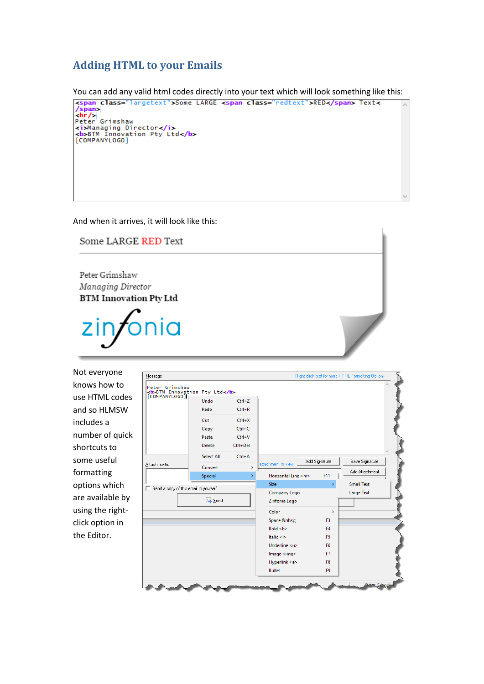## **Adding HTML to your Emails**

You can add any valid html codes directly into your text which will look something like this: <span class="largetext">Some LARGE <span class="redtext">RED</span> Text< /span><br><hr/><br>Peter Grimshaw xi>Managing Director</i><br><br/>b>BTM Innovation Pty Ltd</b>[COMPANYLOGO]

And when it arrives, it will look like this:

Some LARGE RED Text

Peter Grimshaw Managing Director **BTM Innovation Pty Ltd** 

Not everyone knows how to use HTML codes and so HLMSW includes a number of quick shortcuts to some useful formatting options which are available by using the rightclick option in the Editor.

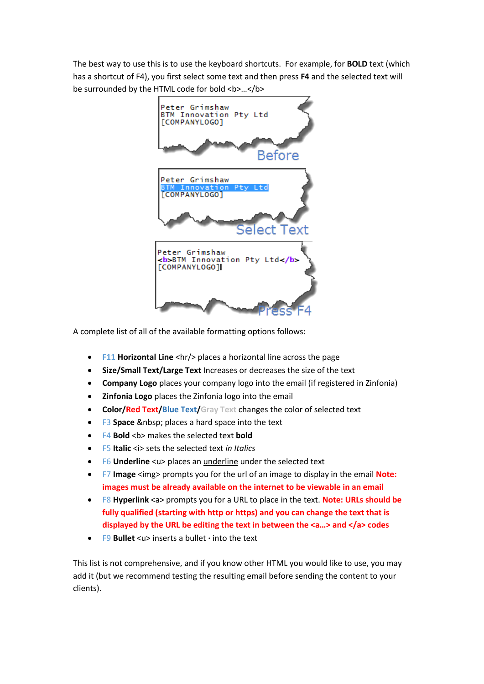The best way to use this is to use the keyboard shortcuts. For example, for **BOLD** text (which has a shortcut of F4), you first select some text and then press **F4** and the selected text will be surrounded by the HTML code for bold <b>…</b>



A complete list of all of the available formatting options follows:

- **F11 Horizontal Line** <hr/>hr> places a horizontal line across the page
- **Size/Small Text/Large Text** Increases or decreases the size of the text
- **Company Logo** places your company logo into the email (if registered in Zinfonia)
- **Zinfonia Logo** places the Zinfonia logo into the email
- **Color/Red Text/Blue Text/Gray Text** changes the color of selected text
- F3 Space places a hard space into the text
- **F4 Bold** <b> makes the selected text **bold**
- F5 **Italic** <i> sets the selected text *in Italics*
- **F6 Underline** <u> places an underline under the selected text
- F7 **Image** <img> prompts you for the url of an image to display in the email **Note: images must be already available on the internet to be viewable in an email**
- F8 **Hyperlink** <a> prompts you for a URL to place in the text. **Note: URLs should be fully qualified (starting with http or https) and you can change the text that is displayed by the URL be editing the text in between the <a…> and </a> codes**
- F9 **Bullet** <u> inserts a bullet **·** into the text

This list is not comprehensive, and if you know other HTML you would like to use, you may add it (but we recommend testing the resulting email before sending the content to your clients).